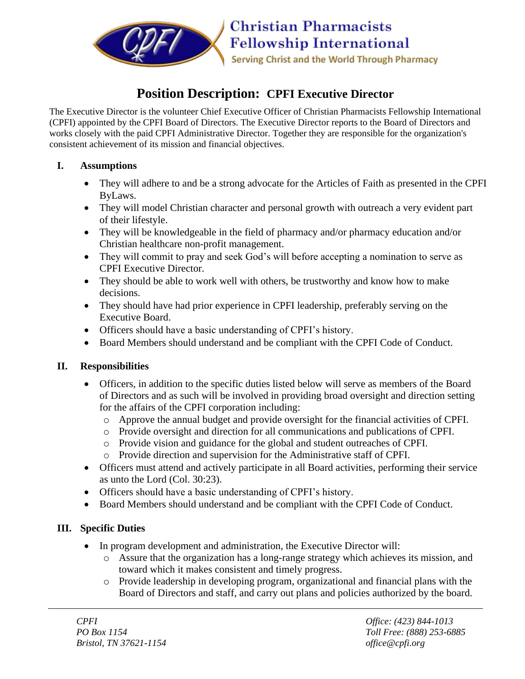

# **Position Description: CPFI Executive Director**

The Executive Director is the volunteer Chief Executive Officer of Christian Pharmacists Fellowship International (CPFI) appointed by the CPFI Board of Directors. The Executive Director reports to the Board of Directors and works closely with the paid CPFI Administrative Director. Together they are responsible for the organization's consistent achievement of its mission and financial objectives.

### **I. Assumptions**

- They will adhere to and be a strong advocate for the Articles of Faith as presented in the CPFI ByLaws.
- They will model Christian character and personal growth with outreach a very evident part of their lifestyle.
- They will be knowledgeable in the field of pharmacy and/or pharmacy education and/or Christian healthcare non-profit management.
- They will commit to pray and seek God's will before accepting a nomination to serve as CPFI Executive Director.
- They should be able to work well with others, be trustworthy and know how to make decisions.
- They should have had prior experience in CPFI leadership, preferably serving on the Executive Board.
- Officers should have a basic understanding of CPFI's history.
- Board Members should understand and be compliant with the CPFI Code of Conduct.

## **II. Responsibilities**

- Officers, in addition to the specific duties listed below will serve as members of the Board of Directors and as such will be involved in providing broad oversight and direction setting for the affairs of the CPFI corporation including:
	- o Approve the annual budget and provide oversight for the financial activities of CPFI.
	- o Provide oversight and direction for all communications and publications of CPFI.
	- o Provide vision and guidance for the global and student outreaches of CPFI.
	- o Provide direction and supervision for the Administrative staff of CPFI.
- Officers must attend and actively participate in all Board activities, performing their service as unto the Lord (Col. 30:23).
- Officers should have a basic understanding of CPFI's history.
- Board Members should understand and be compliant with the CPFI Code of Conduct.

## **III. Specific Duties**

- In program development and administration, the Executive Director will:
	- o Assure that the organization has a long-range strategy which achieves its mission, and toward which it makes consistent and timely progress.
	- o Provide leadership in developing program, organizational and financial plans with the Board of Directors and staff, and carry out plans and policies authorized by the board.